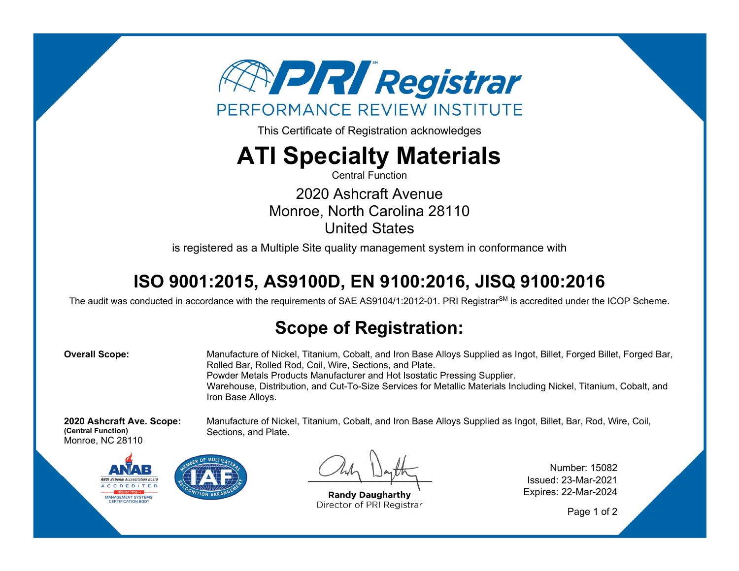

This Certificate of Registration acknowledges

## **ATI Specialty Materials**

Central Function

2020 Ashcraft Avenue Monroe, North Carolina 28110 United States

is registered as a Multiple Site quality management system in conformance with

## **ISO 9001:2015, AS9100D, EN 9100:2016, JISQ 9100:2016**

The audit was conducted in accordance with the requirements of SAE AS9104/1:2012-01. PRI Registrar<sup>SM</sup> is accredited under the ICOP Scheme.

## **Scope of Registration:**

**Overall Scope:** Manufacture of Nickel, Titanium, Cobalt, and Iron Base Alloys Supplied as Ingot, Billet, Forged Billet, Forged Bar, Rolled Bar, Rolled Rod, Coil, Wire, Sections, and Plate. Powder Metals Products Manufacturer and Hot Isostatic Pressing Supplier. Warehouse, Distribution, and Cut-To-Size Services for Metallic Materials Including Nickel, Titanium, Cobalt, and Iron Base Alloys.

Manufacture of Nickel, Titanium, Cobalt, and Iron Base Alloys Supplied as Ingot, Billet, Bar, Rod, Wire, Coil,

**2020 Ashcraft Ave. Scope: (Central Function)**  Monroe, NC 28110



Sections, and Plate.

**Randy Daugharthy** Director of PRI Registrar

Number: 15082 Issued: 23-Mar-2021 Expires: 22-Mar-2024